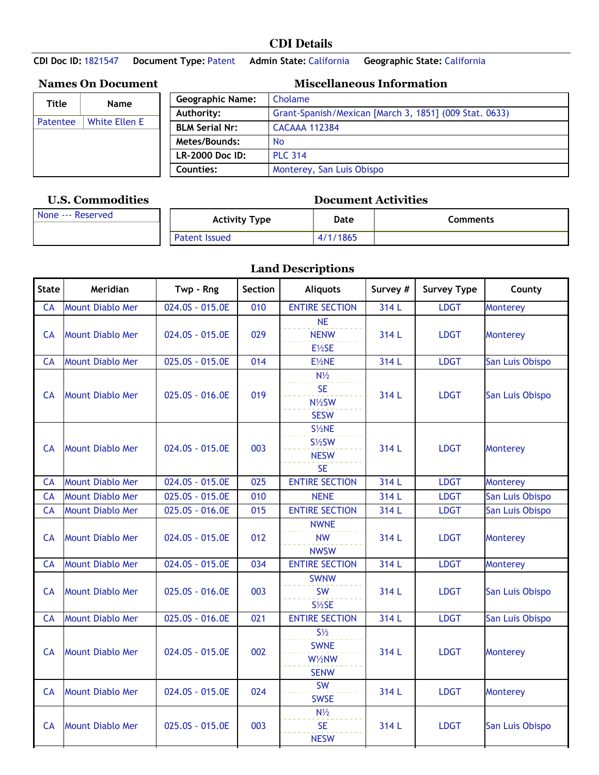## **CDI Details**

**CDI Doc ID:** 1821547 **Document Type:** Patent **Admin State:** California **Geographic State:** California

| Title           | <b>Name</b>          | Geographic N         |
|-----------------|----------------------|----------------------|
|                 |                      | Authority:           |
| <b>Patentee</b> | <b>White Ellen E</b> | <b>BLM Serial Nr</b> |
|                 |                      | Metes/Bounds         |
|                 |                      |                      |
|                 |                      | <b>LR-2000 Doc</b>   |
|                 |                      |                      |

## **Names On Document Miscellaneous Information**

| <b>Geographic Name:</b>                                              | Cholame                   |  |  |  |  |
|----------------------------------------------------------------------|---------------------------|--|--|--|--|
| Authority:<br>Grant-Spanish/Mexican [March 3, 1851] (009 Stat. 0633) |                           |  |  |  |  |
| <b>BLM Serial Nr:</b>                                                | <b>CACAAA 112384</b>      |  |  |  |  |
| Metes/Bounds:                                                        | <b>No</b>                 |  |  |  |  |
| LR-2000 Doc ID:                                                      | <b>PLC 314</b>            |  |  |  |  |
| Counties:                                                            | Monterey, San Luis Obispo |  |  |  |  |

## **U.S. Commodities Document Activities**

| None --- Reserved | Activity Type | Date         | Comments |
|-------------------|---------------|--------------|----------|
|                   | Patent Issued | /1865<br>4/1 |          |

## **Land Descriptions**

| <b>State</b> | Meridian                | Twp - Rng                    | Section | <b>Aliquots</b>                                                  | Survey # | <b>Survey Type</b> | County          |
|--------------|-------------------------|------------------------------|---------|------------------------------------------------------------------|----------|--------------------|-----------------|
| CA           | <b>Mount Diablo Mer</b> | $\overline{02}4.05 - 015.0E$ | 010     | <b>ENTIRE SECTION</b>                                            | 314 L    | <b>LDGT</b>        | Monterey        |
| <b>CA</b>    | <b>Mount Diablo Mer</b> | 024.0S - 015.0E              | 029     | <b>NE</b><br><b>NENW</b><br>E1/2SE                               | 314 L    | <b>LDGT</b>        | Monterey        |
| <b>CA</b>    | <b>Mount Diablo Mer</b> | 025.0S - 015.0E              | 014     | $E\frac{1}{2}NE$                                                 | 314 L    | <b>LDGT</b>        | San Luis Obispo |
| <b>CA</b>    | <b>Mount Diablo Mer</b> | 025.0S - 016.0E              | 019     | $N\frac{1}{2}$<br><b>SE</b><br>N1/2SW<br><b>SESW</b>             | 314 L    | <b>LDGT</b>        | San Luis Obispo |
| <b>CA</b>    | <b>Mount Diablo Mer</b> | 024.0S - 015.0E              | 003     | $S\frac{1}{2}NE$<br>$S\frac{1}{2}SW$<br><b>NESW</b><br><b>SE</b> | 314 L    | <b>LDGT</b>        | <b>Monterey</b> |
| CA           | <b>Mount Diablo Mer</b> | 024.0S - 015.0E              | 025     | <b>ENTIRE SECTION</b>                                            | 314 L    | <b>LDGT</b>        | Monterey        |
| CA           | <b>Mount Diablo Mer</b> | 025.0S - 015.0E              | 010     | <b>NENE</b>                                                      | 314 L    | <b>LDGT</b>        | San Luis Obispo |
| <b>CA</b>    | <b>Mount Diablo Mer</b> | 025.0S - 016.0E              | 015     | <b>ENTIRE SECTION</b>                                            | 314L     | <b>LDGT</b>        | San Luis Obispo |
| <b>CA</b>    | <b>Mount Diablo Mer</b> | 024.0S - 015.0E              | 012     | <b>NWNE</b><br><b>NW</b><br><b>NWSW</b>                          | 314 L    | <b>LDGT</b>        | Monterey        |
| CA           | <b>Mount Diablo Mer</b> | 024.0S - 015.0E              | 034     | <b>ENTIRE SECTION</b>                                            | 314 L    | <b>LDGT</b>        | Monterey        |
| <b>CA</b>    | <b>Mount Diablo Mer</b> | 025.0S - 016.0E              | 003     | <b>SWNW</b><br><b>SW</b><br>$S\frac{1}{2}SE$                     | 314 L    | <b>LDGT</b>        | San Luis Obispo |
| <b>CA</b>    | <b>Mount Diablo Mer</b> | 025.0S - 016.0E              | 021     | <b>ENTIRE SECTION</b>                                            | 314 L    | <b>LDGT</b>        | San Luis Obispo |
| <b>CA</b>    | <b>Mount Diablo Mer</b> | 024.0S - 015.0E              | 002     | $S\frac{1}{2}$<br><b>SWNE</b><br>W1/2NW<br><b>SENW</b>           | 314 L    | <b>LDGT</b>        | <b>Monterey</b> |
| <b>CA</b>    | <b>Mount Diablo Mer</b> | 024.0S - 015.0E              | 024     | <b>SW</b><br><b>SWSE</b>                                         | 314 L    | <b>LDGT</b>        | Monterey        |
| <b>CA</b>    | <b>Mount Diablo Mer</b> | 025.0S - 015.0E              | 003     | $N\frac{1}{2}$<br><b>SE</b><br><b>NESW</b>                       | 314 L    | <b>LDGT</b>        | San Luis Obispo |
|              |                         |                              |         |                                                                  |          |                    |                 |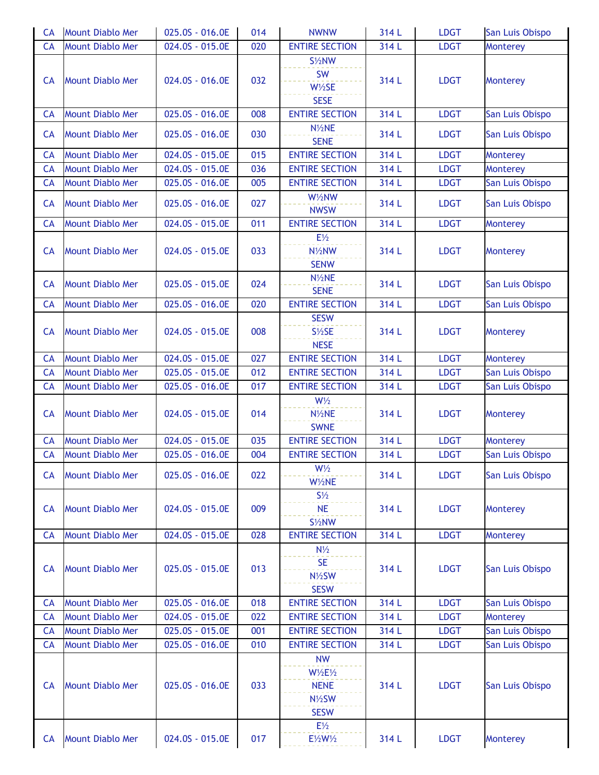| <b>CA</b> | <b>Mount Diablo Mer</b> | 025.0S - 016.0E              | 014 | <b>NWNW</b>                                                                     | 314 L | <b>LDGT</b> | San Luis Obispo |
|-----------|-------------------------|------------------------------|-----|---------------------------------------------------------------------------------|-------|-------------|-----------------|
| CA        | <b>Mount Diablo Mer</b> | 024.0S - 015.0E              | 020 | <b>ENTIRE SECTION</b>                                                           | 314 L | <b>LDGT</b> | Monterey        |
| <b>CA</b> | <b>Mount Diablo Mer</b> | 024.0S - 016.0E              | 032 | S1/2NW<br>SW<br>$W\frac{1}{2}SE$<br><b>SESE</b>                                 | 314 L | <b>LDGT</b> | <b>Monterey</b> |
| <b>CA</b> | <b>Mount Diablo Mer</b> | 025.0S - 016.0E              | 008 | <b>ENTIRE SECTION</b>                                                           | 314 L | <b>LDGT</b> | San Luis Obispo |
| <b>CA</b> | <b>Mount Diablo Mer</b> | 025.0S - 016.0E              | 030 | N <sub>1/2</sub> NE<br><b>SENE</b>                                              | 314 L | <b>LDGT</b> | San Luis Obispo |
| <b>CA</b> | <b>Mount Diablo Mer</b> | 024.0S - 015.0E              | 015 | <b>ENTIRE SECTION</b>                                                           | 314 L | <b>LDGT</b> | Monterey        |
| <b>CA</b> | <b>Mount Diablo Mer</b> | 024.0S - 015.0E              | 036 | <b>ENTIRE SECTION</b>                                                           | 314 L | <b>LDGT</b> | <b>Monterey</b> |
| <b>CA</b> | <b>Mount Diablo Mer</b> | 025.0S - 016.0E              | 005 | <b>ENTIRE SECTION</b>                                                           | 314 L | <b>LDGT</b> | San Luis Obispo |
| <b>CA</b> | <b>Mount Diablo Mer</b> | 025.0S - 016.0E              | 027 | W1/2NW<br><b>NWSW</b>                                                           | 314 L | <b>LDGT</b> | San Luis Obispo |
| CA        | <b>Mount Diablo Mer</b> | 024.0S - 015.0E              | 011 | <b>ENTIRE SECTION</b>                                                           | 314 L | <b>LDGT</b> | Monterey        |
| <b>CA</b> | <b>Mount Diablo Mer</b> | 024.0S - 015.0E              | 033 | $E\frac{1}{2}$<br>N <sup>1</sup> / <sub>2</sub> NW<br><b>SENW</b>               | 314 L | <b>LDGT</b> | Monterey        |
| <b>CA</b> | <b>Mount Diablo Mer</b> | 025.0S - 015.0E              | 024 | N1/2NE<br><b>SENE</b>                                                           | 314 L | <b>LDGT</b> | San Luis Obispo |
| <b>CA</b> | <b>Mount Diablo Mer</b> | 025.0S - 016.0E              | 020 | <b>ENTIRE SECTION</b>                                                           | 314 L | <b>LDGT</b> | San Luis Obispo |
| <b>CA</b> | <b>Mount Diablo Mer</b> | 024.0S - 015.0E              | 008 | <b>SESW</b><br>S1/2SE<br><b>NESE</b>                                            | 314 L | <b>LDGT</b> | <b>Monterey</b> |
| <b>CA</b> | <b>Mount Diablo Mer</b> | 024.0S - 015.0E              | 027 | <b>ENTIRE SECTION</b>                                                           | 314 L | <b>LDGT</b> | Monterey        |
| CA        | <b>Mount Diablo Mer</b> | 025.0S - 015.0E              | 012 | <b>ENTIRE SECTION</b>                                                           | 314 L | <b>LDGT</b> | San Luis Obispo |
| <b>CA</b> | <b>Mount Diablo Mer</b> | 025.0S - 016.0E              | 017 | <b>ENTIRE SECTION</b>                                                           | 314 L | <b>LDGT</b> | San Luis Obispo |
| <b>CA</b> | <b>Mount Diablo Mer</b> | 024.0S - 015.0E              | 014 | $W\frac{1}{2}$<br>N1/2NE<br><b>SWNE</b>                                         | 314 L | <b>LDGT</b> | Monterey        |
| <b>CA</b> | <b>Mount Diablo Mer</b> | 024.0S - 015.0E              | 035 | <b>ENTIRE SECTION</b>                                                           | 314 L | <b>LDGT</b> | Monterey        |
| <b>CA</b> | <b>Mount Diablo Mer</b> | 025.0S - 016.0E              | 004 | <b>ENTIRE SECTION</b>                                                           | 314 L | <b>LDGT</b> | San Luis Obispo |
| <b>CA</b> | <b>Mount Diablo Mer</b> | 025.0S - 016.0E              | 022 | $W\frac{1}{2}$<br>W1/2NE                                                        | 314 L | <b>LDGT</b> | San Luis Obispo |
| <b>CA</b> | <b>Mount Diablo Mer</b> | 024.0S - 015.0E              | 009 | $S\frac{1}{2}$<br><b>NE</b><br>S1/2NW                                           | 314 L | <b>LDGT</b> | <b>Monterey</b> |
| <b>CA</b> | <b>Mount Diablo Mer</b> | 024.0S - 015.0E              | 028 | <b>ENTIRE SECTION</b>                                                           | 314 L | <b>LDGT</b> | Monterey        |
| <b>CA</b> | <b>Mount Diablo Mer</b> | 025.0S - 015.0E              | 013 | $N\frac{1}{2}$<br><b>SE</b><br>N1/2SW<br><b>SESW</b>                            | 314 L | <b>LDGT</b> | San Luis Obispo |
| <b>CA</b> | <b>Mount Diablo Mer</b> | 025.0S - 016.0E              | 018 | <b>ENTIRE SECTION</b>                                                           | 314 L | <b>LDGT</b> | San Luis Obispo |
| CA        | <b>Mount Diablo Mer</b> | $\overline{024.0S} - 015.0E$ | 022 | <b>ENTIRE SECTION</b>                                                           | 314 L | <b>LDGT</b> | Monterey        |
| CA        | <b>Mount Diablo Mer</b> | 025.0S - 015.0E              | 001 | <b>ENTIRE SECTION</b>                                                           | 314 L | <b>LDGT</b> | San Luis Obispo |
| <b>CA</b> | <b>Mount Diablo Mer</b> | 025.0S - 016.0E              | 010 | <b>ENTIRE SECTION</b>                                                           | 314L  | <b>LDGT</b> | San Luis Obispo |
| <b>CA</b> | <b>Mount Diablo Mer</b> | 025.0S - 016.0E              | 033 | <b>NW</b><br>$W\frac{1}{2}E\frac{1}{2}$<br><b>NENE</b><br>N1/2SW<br><b>SESW</b> | 314 L | <b>LDGT</b> | San Luis Obispo |
| <b>CA</b> | <b>Mount Diablo Mer</b> | 024.0S - 015.0E              | 017 | $E\frac{1}{2}$<br>E1/2W1/2                                                      | 314L  | <b>LDGT</b> | Monterey        |